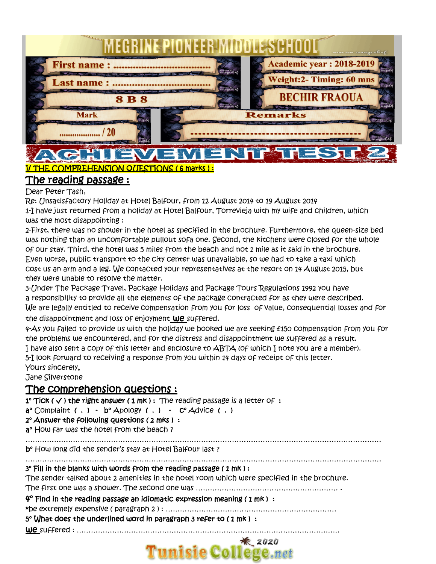

## I/ THE COMPREHENSION QUESTIONS ( 6 marks ) : The reading passage :

## Dear Peter Tash,

Re: Unsatisfactory Holiday at Hotel Balfour, from 12 August 2014 to 19 August 2014

1-I have just returned from a holiday at Hotel Balfour, Torrevieja with my wife and children, which was the most disappointing :

2-First, there was no shower in the hotel as specified in the brochure. Furthermore, the queen-size bed was nothing than an uncomfortable pullout sofa one. Second, the kitchens were closed for the whole of our stay. Third, the hotel was 5 miles from the beach and not 1 mile as it said in the brochure. Even worse, public transport to the city center was unavailable, so we had to take a taxi which cost us an arm and a leg. We contacted your representatives at the resort on 14 August 2015, but they were unable to resolve the matter.

3-Under The Package Travel, Package Holidays and Package Tours Regulations 1992 you have a responsibility to provide all the elements of the package contracted for as they were described. We are legally entitled to receive compensation from you for loss of value, consequential losses and for the disappointment and loss of enjoyment We suffered.

4-As you failed to provide us with the holiday we booked we are seeking £150 compensation from you for the problems we encountered, and for the distress and disappointment we suffered as a result. I have also sent a copy of this letter and enclosure to ABTA (of which I note you are a member). 5-I look forward to receiving a response from you within 14 days of receipt of this letter. Yours sincerely,

Jane Silverstone

# The comprehension questions :

 $1°$  Tick ( $\checkmark$ ) the right answer (1 mk): The reading passage is a letter of:

 $a^{\circ}$  Complaint (.) -  $b^{\circ}$  Apology (.) -  $c^{\circ}$  Advice (.)

2° Answer the following questions ( 2 mks ) :

a<sup>o</sup> How far was the hotel from the beach?

……………………………………………………………………………………………………………………………………

b° How long did the sender's stay at Hotel Balfour last ?

# ……………………………………………………………………………………………………………………………………

## 3° Fill in the blanks with words from the reading passage ( 1 mk ) :

The sender talked about 2 amenities in the hotel room which were specified in the brochure.

The first one was a shower. The second one was …………………………………………………… .

#### $4^\circ$  Find in the reading passage an idiomatic expression meaning (1 mk) :

\*be extremely expensive ( paragraph 2 ) : ………………………………………………………………

5° What does the underlined word in paragraph 3 refer to ( 1 mk ) :

we suffered : …………………………………………………………………………………………………

## $*$  2020 **Tunisie College.net**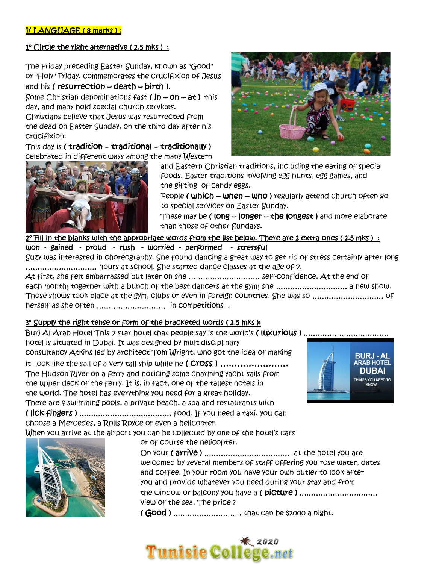## I/ LANGUAGE ( 8 marks ) :

#### 1° Circle the right alternative (2.5 mks) :

The Friday preceding Easter Sunday, known as "Good" or "Holy" Friday, commemorates the crucifixion of Jesus and his ( resurrection  $-$  death  $-$  birth ).

Some Christian denominations fast (  $in - on - at$  ) this day, and many hold special church services.

Christians believe that Jesus was resurrected from the dead on Easter Sunday, on the third day after his crucifixion.

This day is ( tradition – traditional – traditionally ) celebrated in different ways among the many Western





and Eastern Christian traditions, including the eating of special foods. Easter traditions involving egg hunts, egg games, and the gifting of candy eggs.

People ( which – when – who ) regularly attend church often go to special services on Easter Sunday.

These may be (  $long = long - the long$ ) and more elaborate than those of other Sundays.

2° Fill in the blanks with the appropriate words from the list below. There are 2 extra ones (2.5 mks) :

won - gained - proud - rush - worried - performed - stressful

Suzy was interested in choreography. She found dancing a great way to get rid of stress certainly after long ………………………… hours at school. She started dance classes at the age of 7.

At first, she felt embarrassed but later on she ………………………… self-confidence. At the end of each month; together with a bunch of the best dancers at the gym; she ………………………… a new show. Those shows took place at the gym, clubs or even in foreign countries. She was so ………………………… of herself as she often ………………………… in competitions .

#### 3° Supply the right tense or form of the bracketed words (2.5 mks):

Burj AI Arab Hotel This 7 star hotel that people say is the world's (luxurious) ............................... hotel is situated in Dubai. It was designed by multidisciplinary consultancy [Atkins](https://en.wikipedia.org/wiki/Atkins_(company)) led by architect [Tom Wright,](https://en.wikipedia.org/wiki/Tom_Wright_(British_architect)) who got the idea of making it look like the sail of a very tall ship while he (Cross) ...................... The Hudson River on a ferry and noticing some charming yacht sails from the upper deck of the ferry. It is, in fact, one of the tallest hotels in the world. The hotel has everything you need for a great holiday. There are 4 swimming pools, a private beach, a spa and restaurants with

( lick fingers ) ………………………………… food. If you need a taxi, you can choose a Mercedes, a Rolls Royce or even a helicopter.

When you arrive at the airport you can be collected by one of the hotel's cars



or of course the helicopter.

On your ( arrive ) ……………………………… at the hotel you are welcomed by several members of staff offering you rose water, dates and coffee. In your room you have your own butler to look after you and provide whatever you need during your stay and from the window or balcony you have a ( picture ) …………………………… view of the sea. The price ?

( Good ) ……………………… , that can be \$2000 a night.

# **Tunisie College.net**